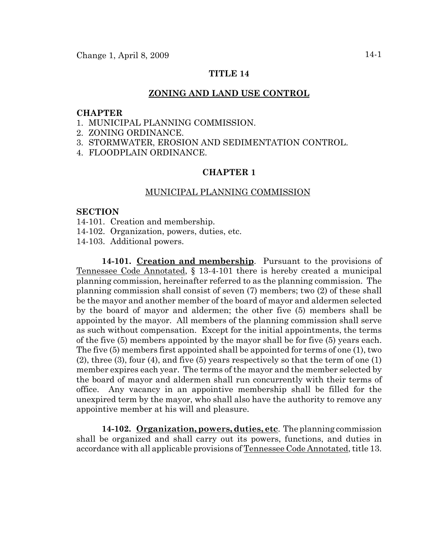# **TITLE 14**

#### **ZONING AND LAND USE CONTROL**

### **CHAPTER**

- 1. MUNICIPAL PLANNING COMMISSION.
- 2. ZONING ORDINANCE.
- 3. STORMWATER, EROSION AND SEDIMENTATION CONTROL.
- 4. FLOODPLAIN ORDINANCE.

## **CHAPTER 1**

#### MUNICIPAL PLANNING COMMISSION

#### **SECTION**

- 14-101. Creation and membership.
- 14-102. Organization, powers, duties, etc.
- 14-103. Additional powers.

**14-101. Creation and membership**. Pursuant to the provisions of Tennessee Code Annotated, § 13-4-101 there is hereby created a municipal planning commission, hereinafter referred to as the planning commission. The planning commission shall consist of seven (7) members; two (2) of these shall be the mayor and another member of the board of mayor and aldermen selected by the board of mayor and aldermen; the other five (5) members shall be appointed by the mayor. All members of the planning commission shall serve as such without compensation. Except for the initial appointments, the terms of the five (5) members appointed by the mayor shall be for five (5) years each. The five (5) members first appointed shall be appointed for terms of one (1), two (2), three (3), four (4), and five (5) years respectively so that the term of one (1) member expires each year. The terms of the mayor and the member selected by the board of mayor and aldermen shall run concurrently with their terms of office. Any vacancy in an appointive membership shall be filled for the unexpired term by the mayor, who shall also have the authority to remove any appointive member at his will and pleasure.

**14-102. Organization, powers, duties, etc**. The planning commission shall be organized and shall carry out its powers, functions, and duties in accordance with all applicable provisions of Tennessee Code Annotated, title 13.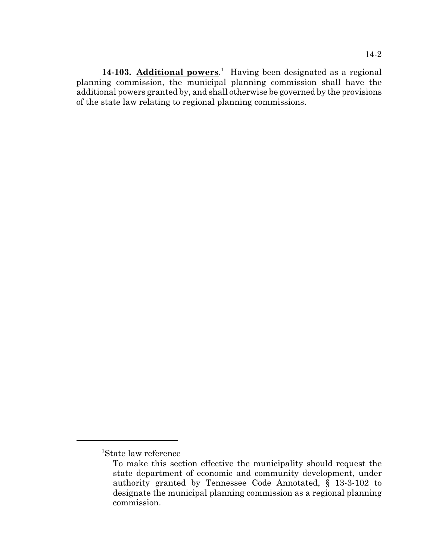14-103. **Additional powers**.<sup>1</sup> Having been designated as a regional planning commission, the municipal planning commission shall have the additional powers granted by, and shall otherwise be governed by the provisions of the state law relating to regional planning commissions.

<sup>1</sup> State law reference

To make this section effective the municipality should request the state department of economic and community development, under authority granted by Tennessee Code Annotated, § 13-3-102 to designate the municipal planning commission as a regional planning commission.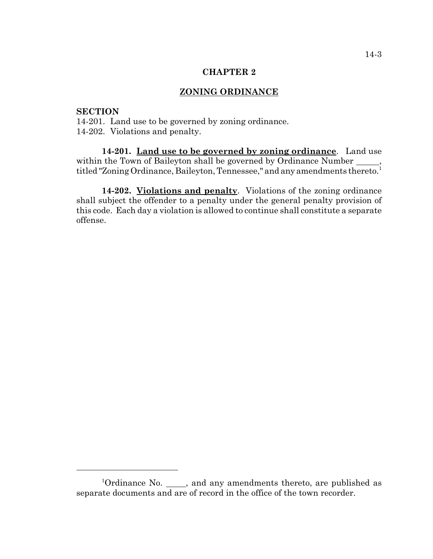#### **CHAPTER 2**

## **ZONING ORDINANCE**

### **SECTION**

14-201. Land use to be governed by zoning ordinance. 14-202. Violations and penalty.

**14-201. Land use to be governed by zoning ordinance**. Land use within the Town of Baileyton shall be governed by Ordinance Number \_\_\_\_\_, titled "Zoning Ordinance, Baileyton, Tennessee," and any amendments thereto.<sup>1</sup>

**14-202. Violations and penalty**. Violations of the zoning ordinance shall subject the offender to a penalty under the general penalty provision of this code. Each day a violation is allowed to continue shall constitute a separate offense.

<sup>&</sup>lt;sup>1</sup>Ordinance No.  $\frac{1}{\sqrt{2}}$ , and any amendments thereto, are published as separate documents and are of record in the office of the town recorder.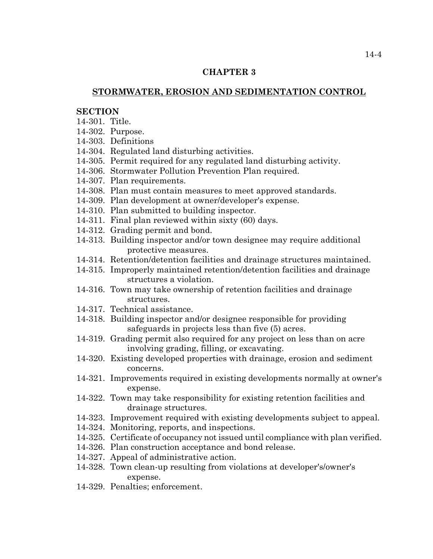## **CHAPTER 3**

## **STORMWATER, EROSION AND SEDIMENTATION CONTROL**

## **SECTION**

- 14-301. Title.
- 14-302. Purpose.
- 14-303. Definitions
- 14-304. Regulated land disturbing activities.
- 14-305. Permit required for any regulated land disturbing activity.
- 14-306. Stormwater Pollution Prevention Plan required.
- 14-307. Plan requirements.
- 14-308. Plan must contain measures to meet approved standards.
- 14-309. Plan development at owner/developer's expense.
- 14-310. Plan submitted to building inspector.
- 14-311. Final plan reviewed within sixty (60) days.
- 14-312. Grading permit and bond.
- 14-313. Building inspector and/or town designee may require additional protective measures.
- 14-314. Retention/detention facilities and drainage structures maintained.
- 14-315. Improperly maintained retention/detention facilities and drainage structures a violation.
- 14-316. Town may take ownership of retention facilities and drainage structures.
- 14-317. Technical assistance.
- 14-318. Building inspector and/or designee responsible for providing safeguards in projects less than five (5) acres.
- 14-319. Grading permit also required for any project on less than on acre involving grading, filling, or excavating.
- 14-320. Existing developed properties with drainage, erosion and sediment concerns.
- 14-321. Improvements required in existing developments normally at owner's expense.
- 14-322. Town may take responsibility for existing retention facilities and drainage structures.
- 14-323. Improvement required with existing developments subject to appeal.
- 14-324. Monitoring, reports, and inspections.
- 14-325. Certificate of occupancy not issued until compliance with plan verified.
- 14-326. Plan construction acceptance and bond release.
- 14-327. Appeal of administrative action.
- 14-328. Town clean-up resulting from violations at developer's/owner's expense.
- 14-329. Penalties; enforcement.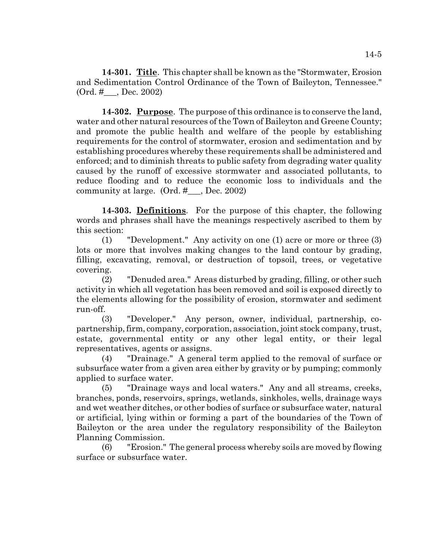**14-301. Title**. This chapter shall be known as the "Stormwater, Erosion and Sedimentation Control Ordinance of the Town of Baileyton, Tennessee." (Ord. #\_\_\_, Dec. 2002)

**14-302. Purpose**. The purpose of this ordinance is to conserve the land, water and other natural resources of the Town of Baileyton and Greene County; and promote the public health and welfare of the people by establishing requirements for the control of stormwater, erosion and sedimentation and by establishing procedures whereby these requirements shall be administered and enforced; and to diminish threats to public safety from degrading water quality caused by the runoff of excessive stormwater and associated pollutants, to reduce flooding and to reduce the economic loss to individuals and the community at large. (Ord. #\_\_\_, Dec. 2002)

**14-303. Definitions**. For the purpose of this chapter, the following words and phrases shall have the meanings respectively ascribed to them by this section:

(1) "Development." Any activity on one (1) acre or more or three (3) lots or more that involves making changes to the land contour by grading, filling, excavating, removal, or destruction of topsoil, trees, or vegetative covering.

(2) "Denuded area." Areas disturbed by grading, filling, or other such activity in which all vegetation has been removed and soil is exposed directly to the elements allowing for the possibility of erosion, stormwater and sediment run-off.

(3) "Developer." Any person, owner, individual, partnership, copartnership, firm, company, corporation, association, joint stock company, trust, estate, governmental entity or any other legal entity, or their legal representatives, agents or assigns.

(4) "Drainage." A general term applied to the removal of surface or subsurface water from a given area either by gravity or by pumping; commonly applied to surface water.

(5) "Drainage ways and local waters." Any and all streams, creeks, branches, ponds, reservoirs, springs, wetlands, sinkholes, wells, drainage ways and wet weather ditches, or other bodies of surface or subsurface water, natural or artificial, lying within or forming a part of the boundaries of the Town of Baileyton or the area under the regulatory responsibility of the Baileyton Planning Commission.

(6) "Erosion." The general process whereby soils are moved by flowing surface or subsurface water.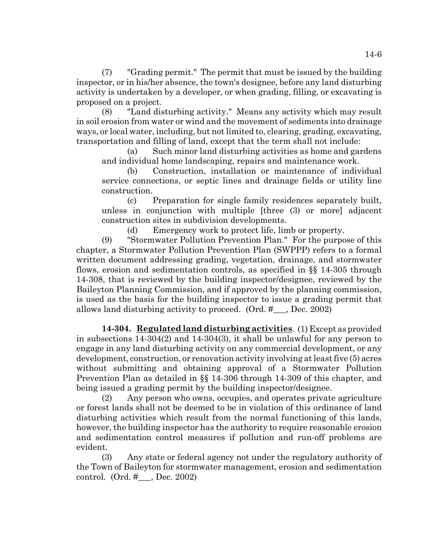(7) "Grading permit." The permit that must be issued by the building inspector, or in his/her absence, the town's designee, before any land disturbing activity is undertaken by a developer, or when grading, filling, or excavating is proposed on a project.

(8) "Land disturbing activity." Means any activity which may result in soil erosion from water or wind and the movement of sediments into drainage ways, or local water, including, but not limited to, clearing, grading, excavating, transportation and filling of land, except that the term shall not include:

(a) Such minor land disturbing activities as home and gardens and individual home landscaping, repairs and maintenance work.

(b) Construction, installation or maintenance of individual service connections, or septic lines and drainage fields or utility line construction.

(c) Preparation for single family residences separately built, unless in conjunction with multiple [three (3) or more] adjacent construction sites in subdivision developments.

(d) Emergency work to protect life, limb or property.

(9) "Stormwater Pollution Prevention Plan." For the purpose of this chapter, a Stormwater Pollution Prevention Plan (SWPPP) refers to a formal written document addressing grading, vegetation, drainage, and stormwater flows, erosion and sedimentation controls, as specified in §§ 14-305 through 14-308, that is reviewed by the building inspector/designee, reviewed by the Baileyton Planning Commission, and if approved by the planning commission, is used as the basis for the building inspector to issue a grading permit that allows land disturbing activity to proceed. (Ord. #\_\_\_, Dec. 2002)

**14-304. Regulated land disturbing activities**. (1) Except as provided in subsections 14-304(2) and 14-304(3), it shall be unlawful for any person to engage in any land disturbing activity on any commercial development, or any development, construction, or renovation activity involving at least five (5) acres without submitting and obtaining approval of a Stormwater Pollution Prevention Plan as detailed in §§ 14-306 through 14-309 of this chapter, and being issued a grading permit by the building inspector/designee.

(2) Any person who owns, occupies, and operates private agriculture or forest lands shall not be deemed to be in violation of this ordinance of land disturbing activities which result from the normal functioning of this lands, however, the building inspector has the authority to require reasonable erosion and sedimentation control measures if pollution and run-off problems are evident.

(3) Any state or federal agency not under the regulatory authority of the Town of Baileyton for stormwater management, erosion and sedimentation control. (Ord. #\_\_\_, Dec. 2002)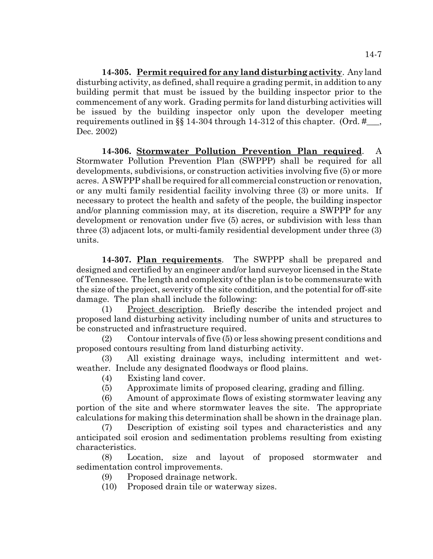**14-305. Permit required for any land disturbing activity**. Any land disturbing activity, as defined, shall require a grading permit, in addition to any building permit that must be issued by the building inspector prior to the commencement of any work. Grading permits for land disturbing activities will be issued by the building inspector only upon the developer meeting requirements outlined in §§ 14-304 through 14-312 of this chapter. (Ord. # $\ldots$ Dec. 2002)

**14-306. Stormwater Pollution Prevention Plan required**. A Stormwater Pollution Prevention Plan (SWPPP) shall be required for all developments, subdivisions, or construction activities involving five (5) or more acres. A SWPPP shall be required for all commercial construction or renovation, or any multi family residential facility involving three (3) or more units. If necessary to protect the health and safety of the people, the building inspector and/or planning commission may, at its discretion, require a SWPPP for any development or renovation under five (5) acres, or subdivision with less than three (3) adjacent lots, or multi-family residential development under three (3) units.

**14-307. Plan requirements**. The SWPPP shall be prepared and designed and certified by an engineer and/or land surveyor licensed in the State of Tennessee. The length and complexity of the plan is to be commensurate with the size of the project, severity of the site condition, and the potential for off-site damage. The plan shall include the following:

(1) Project description. Briefly describe the intended project and proposed land disturbing activity including number of units and structures to be constructed and infrastructure required.

(2) Contour intervals of five (5) or less showing present conditions and proposed contours resulting from land disturbing activity.

(3) All existing drainage ways, including intermittent and wetweather. Include any designated floodways or flood plains.

- (4) Existing land cover.
- (5) Approximate limits of proposed clearing, grading and filling.

(6) Amount of approximate flows of existing stormwater leaving any portion of the site and where stormwater leaves the site. The appropriate calculations for making this determination shall be shown in the drainage plan.

(7) Description of existing soil types and characteristics and any anticipated soil erosion and sedimentation problems resulting from existing characteristics.

(8) Location, size and layout of proposed stormwater and sedimentation control improvements.

(9) Proposed drainage network.

(10) Proposed drain tile or waterway sizes.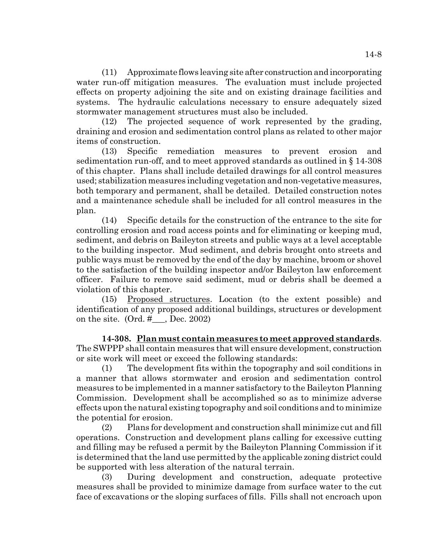(11) Approximate flows leaving site after construction and incorporating water run-off mitigation measures. The evaluation must include projected effects on property adjoining the site and on existing drainage facilities and systems. The hydraulic calculations necessary to ensure adequately sized stormwater management structures must also be included.

(12) The projected sequence of work represented by the grading, draining and erosion and sedimentation control plans as related to other major items of construction.

(13) Specific remediation measures to prevent erosion and sedimentation run-off, and to meet approved standards as outlined in § 14-308 of this chapter. Plans shall include detailed drawings for all control measures used; stabilization measures including vegetation and non-vegetative measures, both temporary and permanent, shall be detailed. Detailed construction notes and a maintenance schedule shall be included for all control measures in the plan.

(14) Specific details for the construction of the entrance to the site for controlling erosion and road access points and for eliminating or keeping mud, sediment, and debris on Baileyton streets and public ways at a level acceptable to the building inspector. Mud sediment, and debris brought onto streets and public ways must be removed by the end of the day by machine, broom or shovel to the satisfaction of the building inspector and/or Baileyton law enforcement officer. Failure to remove said sediment, mud or debris shall be deemed a violation of this chapter.

(15) Proposed structures. Location (to the extent possible) and identification of any proposed additional buildings, structures or development on the site.  $(Ord. # \quad, Dec. 2002)$ 

**14-308. Plan must contain measures to meet approved standards**. The SWPPP shall contain measures that will ensure development, construction or site work will meet or exceed the following standards:

(1) The development fits within the topography and soil conditions in a manner that allows stormwater and erosion and sedimentation control measures to be implemented in a manner satisfactory to the Baileyton Planning Commission. Development shall be accomplished so as to minimize adverse effects upon the natural existing topography and soil conditions and to minimize the potential for erosion.

(2) Plans for development and construction shall minimize cut and fill operations. Construction and development plans calling for excessive cutting and filling may be refused a permit by the Baileyton Planning Commission if it is determined that the land use permitted by the applicable zoning district could be supported with less alteration of the natural terrain.

(3) During development and construction, adequate protective measures shall be provided to minimize damage from surface water to the cut face of excavations or the sloping surfaces of fills. Fills shall not encroach upon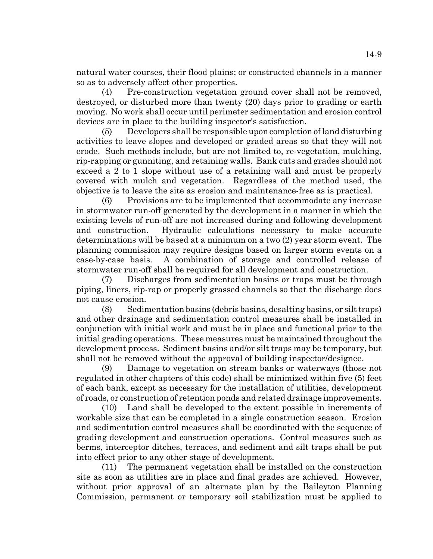natural water courses, their flood plains; or constructed channels in a manner so as to adversely affect other properties.

(4) Pre-construction vegetation ground cover shall not be removed, destroyed, or disturbed more than twenty (20) days prior to grading or earth moving. No work shall occur until perimeter sedimentation and erosion control devices are in place to the building inspector's satisfaction.

(5) Developers shall be responsible upon completion of land disturbing activities to leave slopes and developed or graded areas so that they will not erode. Such methods include, but are not limited to, re-vegetation, mulching, rip-rapping or gunniting, and retaining walls. Bank cuts and grades should not exceed a 2 to 1 slope without use of a retaining wall and must be properly covered with mulch and vegetation. Regardless of the method used, the objective is to leave the site as erosion and maintenance-free as is practical.

(6) Provisions are to be implemented that accommodate any increase in stormwater run-off generated by the development in a manner in which the existing levels of run-off are not increased during and following development and construction. Hydraulic calculations necessary to make accurate determinations will be based at a minimum on a two (2) year storm event. The planning commission may require designs based on larger storm events on a case-by-case basis. A combination of storage and controlled release of stormwater run-off shall be required for all development and construction.

(7) Discharges from sedimentation basins or traps must be through piping, liners, rip-rap or properly grassed channels so that the discharge does not cause erosion.

(8) Sedimentation basins (debris basins, desalting basins, or silt traps) and other drainage and sedimentation control measures shall be installed in conjunction with initial work and must be in place and functional prior to the initial grading operations. These measures must be maintained throughout the development process. Sediment basins and/or silt traps may be temporary, but shall not be removed without the approval of building inspector/designee.

(9) Damage to vegetation on stream banks or waterways (those not regulated in other chapters of this code) shall be minimized within five (5) feet of each bank, except as necessary for the installation of utilities, development of roads, or construction of retention ponds and related drainage improvements.

(10) Land shall be developed to the extent possible in increments of workable size that can be completed in a single construction season. Erosion and sedimentation control measures shall be coordinated with the sequence of grading development and construction operations. Control measures such as berms, interceptor ditches, terraces, and sediment and silt traps shall be put into effect prior to any other stage of development.

(11) The permanent vegetation shall be installed on the construction site as soon as utilities are in place and final grades are achieved. However, without prior approval of an alternate plan by the Baileyton Planning Commission, permanent or temporary soil stabilization must be applied to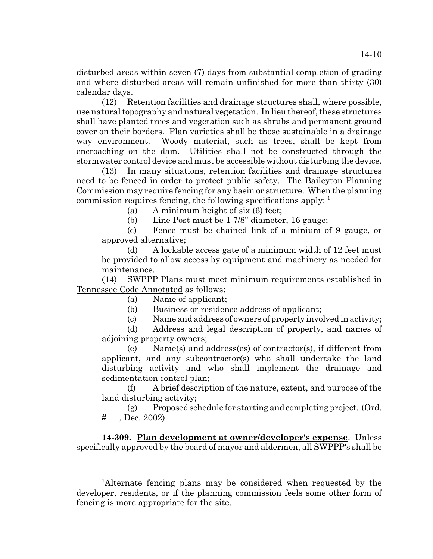disturbed areas within seven (7) days from substantial completion of grading and where disturbed areas will remain unfinished for more than thirty (30)

calendar days. (12) Retention facilities and drainage structures shall, where possible, use natural topography and natural vegetation. In lieu thereof, these structures shall have planted trees and vegetation such as shrubs and permanent ground cover on their borders. Plan varieties shall be those sustainable in a drainage way environment. Woody material, such as trees, shall be kept from encroaching on the dam. Utilities shall not be constructed through the stormwater control device and must be accessible without disturbing the device.

(13) In many situations, retention facilities and drainage structures need to be fenced in order to protect public safety. The Baileyton Planning Commission may require fencing for any basin or structure. When the planning commission requires fencing, the following specifications apply: 1

(a) A minimum height of six (6) feet;

(b) Line Post must be 1 7/8" diameter, 16 gauge;

(c) Fence must be chained link of a minium of 9 gauge, or approved alternative;

(d) A lockable access gate of a minimum width of 12 feet must be provided to allow access by equipment and machinery as needed for maintenance.

(14) SWPPP Plans must meet minimum requirements established in Tennessee Code Annotated as follows:

(a) Name of applicant;

(b) Business or residence address of applicant;

(c) Name and address of owners of property involved in activity;

(d) Address and legal description of property, and names of adjoining property owners;

(e) Name(s) and address(es) of contractor(s), if different from applicant, and any subcontractor(s) who shall undertake the land disturbing activity and who shall implement the drainage and sedimentation control plan;

(f) A brief description of the nature, extent, and purpose of the land disturbing activity;

(g) Proposed schedule for starting and completing project. (Ord.  $\#$ , Dec. 2002)

**14-309. Plan development at owner/developer's expense**. Unless specifically approved by the board of mayor and aldermen, all SWPPP's shall be

<sup>&</sup>lt;sup>1</sup>Alternate fencing plans may be considered when requested by the developer, residents, or if the planning commission feels some other form of fencing is more appropriate for the site.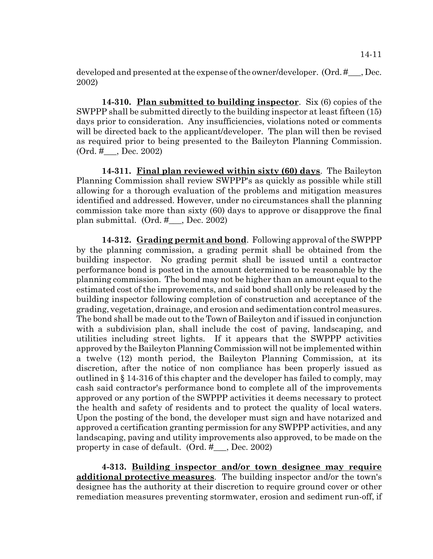developed and presented at the expense of the owner/developer. (Ord. #\_\_\_, Dec. 2002)

**14-310. Plan submitted to building inspector**. Six (6) copies of the SWPPP shall be submitted directly to the building inspector at least fifteen (15) days prior to consideration. Any insufficiencies, violations noted or comments will be directed back to the applicant/developer. The plan will then be revised as required prior to being presented to the Baileyton Planning Commission. (Ord. #\_\_\_, Dec. 2002)

**14-311. Final plan reviewed within sixty (60) days**. The Baileyton Planning Commission shall review SWPPP's as quickly as possible while still allowing for a thorough evaluation of the problems and mitigation measures identified and addressed. However, under no circumstances shall the planning commission take more than sixty (60) days to approve or disapprove the final plan submittal. (Ord. #\_\_\_, Dec. 2002)

**14-312. Grading permit and bond**. Following approval of the SWPPP by the planning commission, a grading permit shall be obtained from the building inspector. No grading permit shall be issued until a contractor performance bond is posted in the amount determined to be reasonable by the planning commission. The bond may not be higher than an amount equal to the estimated cost of the improvements, and said bond shall only be released by the building inspector following completion of construction and acceptance of the grading, vegetation, drainage, and erosion and sedimentation control measures. The bond shall be made out to the Town of Baileyton and if issued in conjunction with a subdivision plan, shall include the cost of paving, landscaping, and utilities including street lights. If it appears that the SWPPP activities approved by the Baileyton Planning Commission will not be implemented within a twelve (12) month period, the Baileyton Planning Commission, at its discretion, after the notice of non compliance has been properly issued as outlined in § 14-316 of this chapter and the developer has failed to comply, may cash said contractor's performance bond to complete all of the improvements approved or any portion of the SWPPP activities it deems necessary to protect the health and safety of residents and to protect the quality of local waters. Upon the posting of the bond, the developer must sign and have notarized and approved a certification granting permission for any SWPPP activities, and any landscaping, paving and utility improvements also approved, to be made on the property in case of default. (Ord. #\_\_\_, Dec. 2002)

**4-313. Building inspector and/or town designee may require additional protective measures**. The building inspector and/or the town's designee has the authority at their discretion to require ground cover or other remediation measures preventing stormwater, erosion and sediment run-off, if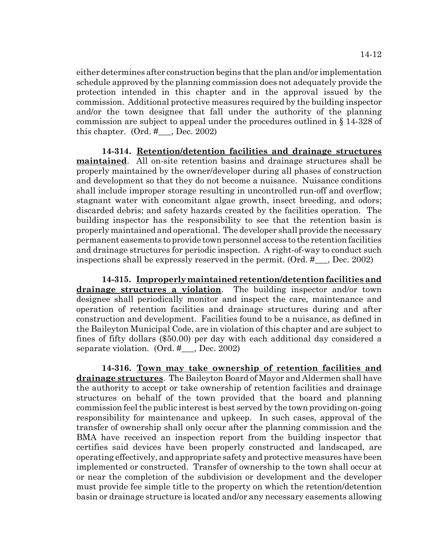either determines after construction begins that the plan and/or implementation schedule approved by the planning commission does not adequately provide the protection intended in this chapter and in the approval issued by the commission. Additional protective measures required by the building inspector and/or the town designee that fall under the authority of the planning commission are subject to appeal under the procedures outlined in § 14-328 of this chapter.  $(Ord. #_,]$  Dec. 2002)

**14-314. Retention/detention facilities and drainage structures maintained**. All on-site retention basins and drainage structures shall be properly maintained by the owner/developer during all phases of construction and development so that they do not become a nuisance. Nuisance conditions shall include improper storage resulting in uncontrolled run-off and overflow; stagnant water with concomitant algae growth, insect breeding, and odors; discarded debris; and safety hazards created by the facilities operation. The building inspector has the responsibility to see that the retention basin is properly maintained and operational. The developer shall provide the necessary permanent easements to provide town personnel access to the retention facilities and drainage structures for periodic inspection. A right-of-way to conduct such inspections shall be expressly reserved in the permit. (Ord. #\_\_\_, Dec. 2002)

**14-315. Improperly maintained retention/detention facilities and drainage structures a violation**. The building inspector and/or town designee shall periodically monitor and inspect the care, maintenance and operation of retention facilities and drainage structures during and after construction and development. Facilities found to be a nuisance, as defined in the Baileyton Municipal Code, are in violation of this chapter and are subject to fines of fifty dollars (\$50.00) per day with each additional day considered a separate violation. (Ord. #\_\_\_, Dec. 2002)

**14-316. Town may take ownership of retention facilities and drainage structures**. The Baileyton Board of Mayor and Aldermen shall have the authority to accept or take ownership of retention facilities and drainage structures on behalf of the town provided that the board and planning commission feel the public interest is best served by the town providing on-going responsibility for maintenance and upkeep. In such cases, approval of the transfer of ownership shall only occur after the planning commission and the BMA have received an inspection report from the building inspector that certifies said devices have been properly constructed and landscaped, are operating effectively, and appropriate safety and protective measures have been implemented or constructed. Transfer of ownership to the town shall occur at or near the completion of the subdivision or development and the developer must provide fee simple title to the property on which the retention/detention basin or drainage structure is located and/or any necessary easements allowing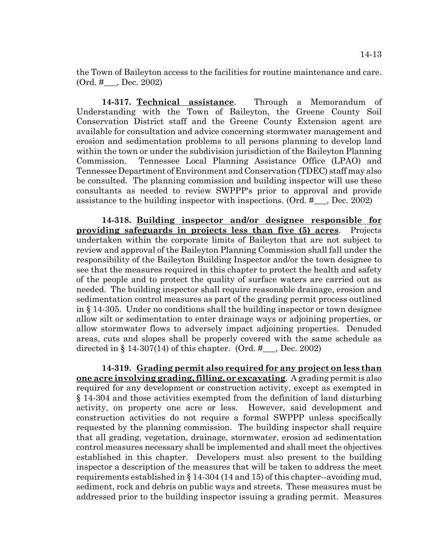the Town of Baileyton access to the facilities for routine maintenance and care. (Ord. #\_\_\_, Dec. 2002)

**14-317. Technical assistance**. Through a Memorandum of Understanding with the Town of Baileyton, the Greene County Soil Conservation District staff and the Greene County Extension agent are available for consultation and advice concerning stormwater management and erosion and sedimentation problems to all persons planning to develop land within the town or under the subdivision jurisdiction of the Baileyton Planning Commission. Tennessee Local Planning Assistance Office (LPAO) and Tennessee Department of Environment and Conservation (TDEC) staff may also be consulted. The planning commission and building inspector will use these consultants as needed to review SWPPP's prior to approval and provide assistance to the building inspector with inspections. (Ord. #\_\_\_, Dec. 2002)

**14-318. Building inspector and/or designee responsible for providing safeguards in projects less than five (5) acres**. Projects undertaken within the corporate limits of Baileyton that are not subject to review and approval of the Baileyton Planning Commission shall fall under the responsibility of the Baileyton Building Inspector and/or the town designee to see that the measures required in this chapter to protect the health and safety of the people and to protect the quality of surface waters are carried out as needed. The building inspector shall require reasonable drainage, erosion and sedimentation control measures as part of the grading permit process outlined in § 14-305. Under no conditions shall the building inspector or town designee allow silt or sedimentation to enter drainage ways or adjoining properties, or allow stormwater flows to adversely impact adjoining properties. Denuded areas, cuts and slopes shall be properly covered with the same schedule as directed in § 14-307(14) of this chapter. (Ord.  $\#$ , Dec. 2002)

**14-319. Grading permit also required for any project on less than one acre involving grading, filling, or excavating**. A grading permit is also required for any development or construction activity, except as exempted in § 14-304 and those activities exempted from the definition of land disturbing activity, on property one acre or less. However, said development and construction activities do not require a formal SWPPP unless specifically requested by the planning commission. The building inspector shall require that all grading, vegetation, drainage, stormwater, erosion ad sedimentation control measures necessary shall be implemented and shall meet the objectives established in this chapter. Developers must also present to the building inspector a description of the measures that will be taken to address the meet requirements established in § 14-304 (14 and 15) of this chapter--avoiding mud, sediment, rock and debris on public ways and streets. These measures must be addressed prior to the building inspector issuing a grading permit. Measures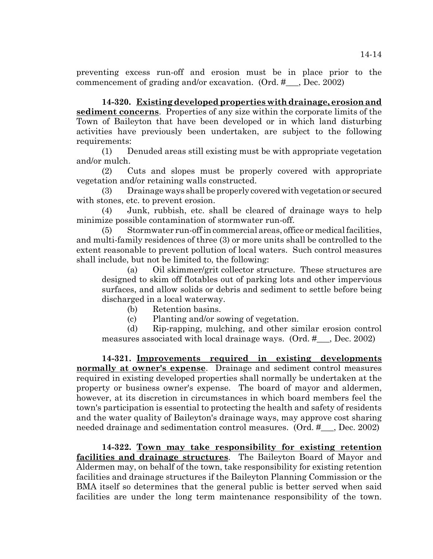preventing excess run-off and erosion must be in place prior to the commencement of grading and/or excavation. (Ord. #\_\_\_, Dec. 2002)

**14-320. Existing developed properties with drainage, erosion and sediment concerns**. Properties of any size within the corporate limits of the Town of Baileyton that have been developed or in which land disturbing activities have previously been undertaken, are subject to the following requirements:

(1) Denuded areas still existing must be with appropriate vegetation and/or mulch.

(2) Cuts and slopes must be properly covered with appropriate vegetation and/or retaining walls constructed.

(3) Drainage ways shall be properly covered with vegetation or secured with stones, etc. to prevent erosion.

(4) Junk, rubbish, etc. shall be cleared of drainage ways to help minimize possible contamination of stormwater run-off.

(5) Stormwater run-off in commercial areas, office or medical facilities, and multi-family residences of three (3) or more units shall be controlled to the extent reasonable to prevent pollution of local waters. Such control measures shall include, but not be limited to, the following:

(a) Oil skimmer/grit collector structure. These structures are designed to skim off flotables out of parking lots and other impervious surfaces, and allow solids or debris and sediment to settle before being discharged in a local waterway.

(b) Retention basins.

(c) Planting and/or sowing of vegetation.

(d) Rip-rapping, mulching, and other similar erosion control measures associated with local drainage ways. (Ord. #\_\_\_, Dec. 2002)

**14-321. Improvements required in existing developments normally at owner's expense**. Drainage and sediment control measures required in existing developed properties shall normally be undertaken at the property or business owner's expense. The board of mayor and aldermen, however, at its discretion in circumstances in which board members feel the town's participation is essential to protecting the health and safety of residents and the water quality of Baileyton's drainage ways, may approve cost sharing needed drainage and sedimentation control measures. (Ord. #\_\_\_, Dec. 2002)

**14-322. Town may take responsibility for existing retention facilities and drainage structures**. The Baileyton Board of Mayor and Aldermen may, on behalf of the town, take responsibility for existing retention facilities and drainage structures if the Baileyton Planning Commission or the BMA itself so determines that the general public is better served when said facilities are under the long term maintenance responsibility of the town.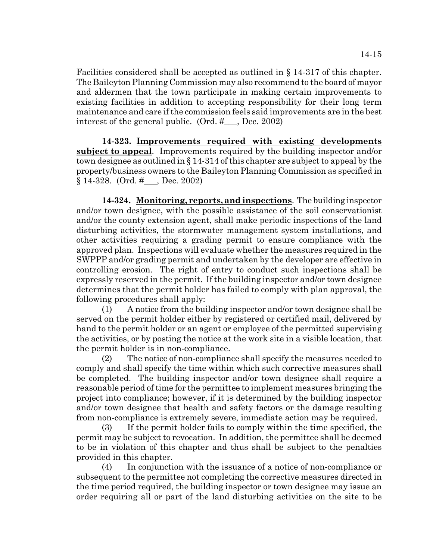Facilities considered shall be accepted as outlined in § 14-317 of this chapter. The Baileyton Planning Commission may also recommend to the board of mayor and aldermen that the town participate in making certain improvements to existing facilities in addition to accepting responsibility for their long term maintenance and care if the commission feels said improvements are in the best interest of the general public. (Ord. #\_\_\_, Dec. 2002)

**14-323. Improvements required with existing developments subject to appeal**. Improvements required by the building inspector and/or town designee as outlined in § 14-314 of this chapter are subject to appeal by the property/business owners to the Baileyton Planning Commission as specified in § 14-328. (Ord. #\_\_\_, Dec. 2002)

**14-324. Monitoring, reports, and inspections**. The building inspector and/or town designee, with the possible assistance of the soil conservationist and/or the county extension agent, shall make periodic inspections of the land disturbing activities, the stormwater management system installations, and other activities requiring a grading permit to ensure compliance with the approved plan. Inspections will evaluate whether the measures required in the SWPPP and/or grading permit and undertaken by the developer are effective in controlling erosion. The right of entry to conduct such inspections shall be expressly reserved in the permit. If the building inspector and/or town designee determines that the permit holder has failed to comply with plan approval, the following procedures shall apply:

(1) A notice from the building inspector and/or town designee shall be served on the permit holder either by registered or certified mail, delivered by hand to the permit holder or an agent or employee of the permitted supervising the activities, or by posting the notice at the work site in a visible location, that the permit holder is in non-compliance.

(2) The notice of non-compliance shall specify the measures needed to comply and shall specify the time within which such corrective measures shall be completed. The building inspector and/or town designee shall require a reasonable period of time for the permittee to implement measures bringing the project into compliance; however, if it is determined by the building inspector and/or town designee that health and safety factors or the damage resulting from non-compliance is extremely severe, immediate action may be required.

(3) If the permit holder fails to comply within the time specified, the permit may be subject to revocation. In addition, the permittee shall be deemed to be in violation of this chapter and thus shall be subject to the penalties provided in this chapter.

(4) In conjunction with the issuance of a notice of non-compliance or subsequent to the permittee not completing the corrective measures directed in the time period required, the building inspector or town designee may issue an order requiring all or part of the land disturbing activities on the site to be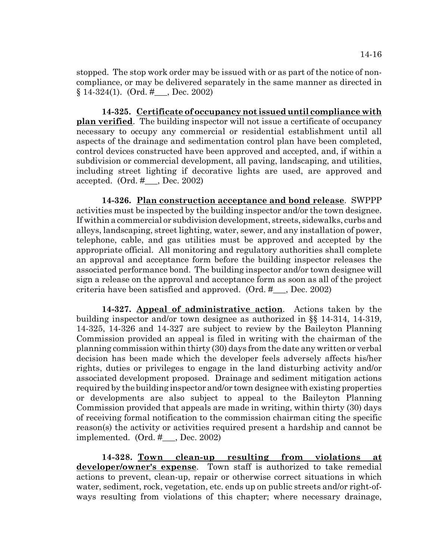stopped. The stop work order may be issued with or as part of the notice of noncompliance, or may be delivered separately in the same manner as directed in § 14-324(1). (Ord. #\_\_\_, Dec. 2002)

**14-325. Certificate of occupancy not issued until compliance with plan verified**. The building inspector will not issue a certificate of occupancy necessary to occupy any commercial or residential establishment until all aspects of the drainage and sedimentation control plan have been completed, control devices constructed have been approved and accepted, and, if within a subdivision or commercial development, all paving, landscaping, and utilities, including street lighting if decorative lights are used, are approved and accepted. (Ord. #\_\_\_, Dec. 2002)

**14-326. Plan construction acceptance and bond release**. SWPPP activities must be inspected by the building inspector and/or the town designee. If within a commercial or subdivision development, streets, sidewalks, curbs and alleys, landscaping, street lighting, water, sewer, and any installation of power, telephone, cable, and gas utilities must be approved and accepted by the appropriate official. All monitoring and regulatory authorities shall complete an approval and acceptance form before the building inspector releases the associated performance bond. The building inspector and/or town designee will sign a release on the approval and acceptance form as soon as all of the project criteria have been satisfied and approved. (Ord. #\_\_\_, Dec. 2002)

**14-327. Appeal of administrative action**. Actions taken by the building inspector and/or town designee as authorized in §§ 14-314, 14-319, 14-325, 14-326 and 14-327 are subject to review by the Baileyton Planning Commission provided an appeal is filed in writing with the chairman of the planning commission within thirty (30) days from the date any written or verbal decision has been made which the developer feels adversely affects his/her rights, duties or privileges to engage in the land disturbing activity and/or associated development proposed. Drainage and sediment mitigation actions required by the building inspector and/or town designee with existing properties or developments are also subject to appeal to the Baileyton Planning Commission provided that appeals are made in writing, within thirty (30) days of receiving formal notification to the commission chairman citing the specific reason(s) the activity or activities required present a hardship and cannot be implemented. (Ord. #\_\_\_, Dec. 2002)

**14-328. Town clean-up resulting from violations at developer/owner's expense**. Town staff is authorized to take remedial actions to prevent, clean-up, repair or otherwise correct situations in which water, sediment, rock, vegetation, etc. ends up on public streets and/or right-ofways resulting from violations of this chapter; where necessary drainage,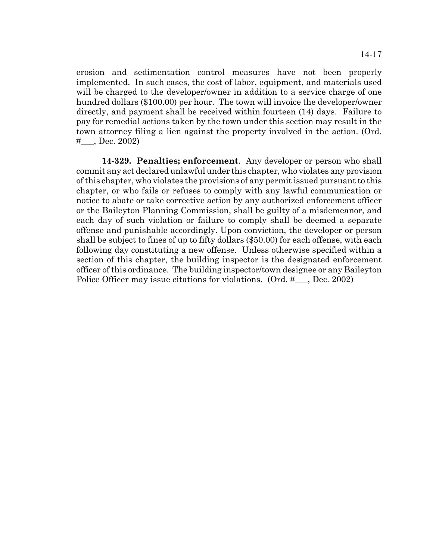erosion and sedimentation control measures have not been properly implemented. In such cases, the cost of labor, equipment, and materials used will be charged to the developer/owner in addition to a service charge of one hundred dollars (\$100.00) per hour. The town will invoice the developer/owner directly, and payment shall be received within fourteen (14) days. Failure to pay for remedial actions taken by the town under this section may result in the town attorney filing a lien against the property involved in the action. (Ord. #\_\_\_, Dec. 2002)

**14-329. Penalties; enforcement**. Any developer or person who shall commit any act declared unlawful under this chapter, who violates any provision of this chapter, who violates the provisions of any permit issued pursuant to this chapter, or who fails or refuses to comply with any lawful communication or notice to abate or take corrective action by any authorized enforcement officer or the Baileyton Planning Commission, shall be guilty of a misdemeanor, and each day of such violation or failure to comply shall be deemed a separate offense and punishable accordingly. Upon conviction, the developer or person shall be subject to fines of up to fifty dollars (\$50.00) for each offense, with each following day constituting a new offense. Unless otherwise specified within a section of this chapter, the building inspector is the designated enforcement officer of this ordinance. The building inspector/town designee or any Baileyton Police Officer may issue citations for violations. (Ord. #\_\_, Dec. 2002)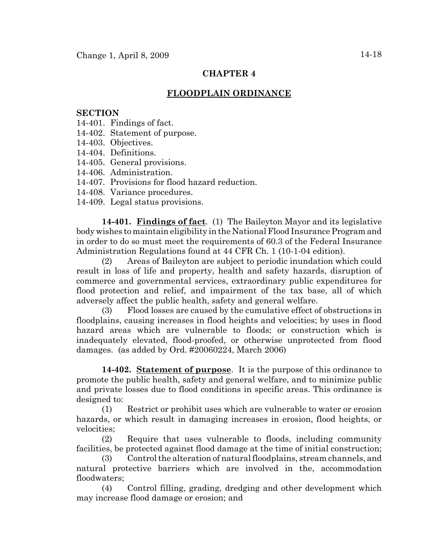# **CHAPTER 4**

# **FLOODPLAIN ORDINANCE**

# **SECTION**

- 14-401. Findings of fact.
- 14-402. Statement of purpose.
- 14-403. Objectives.
- 14-404. Definitions.
- 14-405. General provisions.
- 14-406. Administration.
- 14-407. Provisions for flood hazard reduction.
- 14-408. Variance procedures.
- 14-409. Legal status provisions.

**14-401. Findings of fact**. (1) The Baileyton Mayor and its legislative body wishes to maintain eligibility in the National Flood Insurance Program and in order to do so must meet the requirements of 60.3 of the Federal Insurance Administration Regulations found at 44 CFR Ch. 1 (10-1-04 edition).

(2) Areas of Baileyton are subject to periodic inundation which could result in loss of life and property, health and safety hazards, disruption of commerce and governmental services, extraordinary public expenditures for flood protection and relief, and impairment of the tax base, all of which adversely affect the public health, safety and general welfare.

(3) Flood losses are caused by the cumulative effect of obstructions in floodplains, causing increases in flood heights and velocities; by uses in flood hazard areas which are vulnerable to floods; or construction which is inadequately elevated, flood-proofed, or otherwise unprotected from flood damages. (as added by Ord. #20060224, March 2006)

**14-402. Statement of purpose**. It is the purpose of this ordinance to promote the public health, safety and general welfare, and to minimize public and private losses due to flood conditions in specific areas. This ordinance is designed to:

(1) Restrict or prohibit uses which are vulnerable to water or erosion hazards, or which result in damaging increases in erosion, flood heights, or velocities;

(2) Require that uses vulnerable to floods, including community facilities, be protected against flood damage at the time of initial construction;

(3) Control the alteration of natural floodplains, stream channels, and natural protective barriers which are involved in the, accommodation floodwaters;

(4) Control filling, grading, dredging and other development which may increase flood damage or erosion; and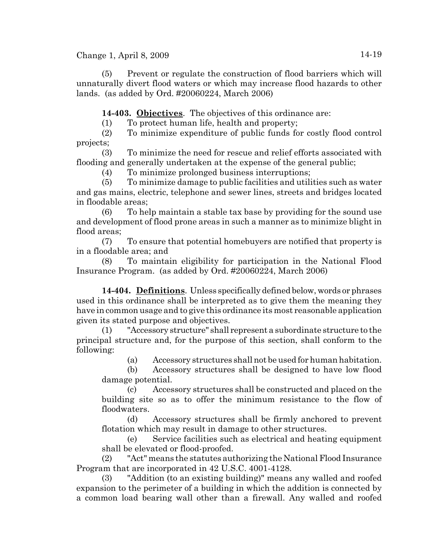(5) Prevent or regulate the construction of flood barriers which will unnaturally divert flood waters or which may increase flood hazards to other lands. (as added by Ord. #20060224, March 2006)

**14-403. Objectives**. The objectives of this ordinance are:

(1) To protect human life, health and property;

(2) To minimize expenditure of public funds for costly flood control projects;

(3) To minimize the need for rescue and relief efforts associated with flooding and generally undertaken at the expense of the general public;

(4) To minimize prolonged business interruptions;

(5) To minimize damage to public facilities and utilities such as water and gas mains, electric, telephone and sewer lines, streets and bridges located in floodable areas;

(6) To help maintain a stable tax base by providing for the sound use and development of flood prone areas in such a manner as to minimize blight in flood areas;

(7) To ensure that potential homebuyers are notified that property is in a floodable area; and

(8) To maintain eligibility for participation in the National Flood Insurance Program. (as added by Ord. #20060224, March 2006)

**14-404. Definitions**. Unless specifically defined below, words or phrases used in this ordinance shall be interpreted as to give them the meaning they have in common usage and to give this ordinance its most reasonable application given its stated purpose and objectives.

(1) "Accessory structure" shall represent a subordinate structure to the principal structure and, for the purpose of this section, shall conform to the following:

(a) Accessory structures shall not be used for human habitation.

(b) Accessory structures shall be designed to have low flood damage potential.

(c) Accessory structures shall be constructed and placed on the building site so as to offer the minimum resistance to the flow of floodwaters.

(d) Accessory structures shall be firmly anchored to prevent flotation which may result in damage to other structures.

(e) Service facilities such as electrical and heating equipment shall be elevated or flood-proofed.

(2) "Act" means the statutes authorizing the National Flood Insurance Program that are incorporated in 42 U.S.C. 4001-4128.

(3) "Addition (to an existing building)" means any walled and roofed expansion to the perimeter of a building in which the addition is connected by a common load bearing wall other than a firewall. Any walled and roofed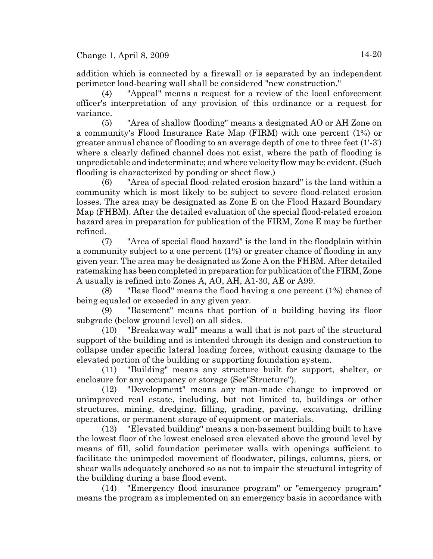addition which is connected by a firewall or is separated by an independent perimeter load-bearing wall shall be considered "new construction."

(4) "Appeal" means a request for a review of the local enforcement officer's interpretation of any provision of this ordinance or a request for variance.

(5) "Area of shallow flooding" means a designated AO or AH Zone on a community's Flood Insurance Rate Map (FIRM) with one percent (1%) or greater annual chance of flooding to an average depth of one to three feet (1'-3') where a clearly defined channel does not exist, where the path of flooding is unpredictable and indeterminate; and where velocity flow may be evident. (Such flooding is characterized by ponding or sheet flow.)

(6) "Area of special flood-related erosion hazard" is the land within a community which is most likely to be subject to severe flood-related erosion losses. The area may be designated as Zone E on the Flood Hazard Boundary Map (FHBM). After the detailed evaluation of the special flood-related erosion hazard area in preparation for publication of the FIRM, Zone E may be further refined.

(7) "Area of special flood hazard" is the land in the floodplain within a community subject to a one percent (1%) or greater chance of flooding in any given year. The area may be designated as Zone A on the FHBM. After detailed ratemaking has been completed in preparation for publication of the FIRM, Zone A usually is refined into Zones A, AO, AH, A1-30, AE or A99.

(8) "Base flood" means the flood having a one percent (1%) chance of being equaled or exceeded in any given year.

(9) "Basement" means that portion of a building having its floor subgrade (below ground level) on all sides.

(10) "Breakaway wall" means a wall that is not part of the structural support of the building and is intended through its design and construction to collapse under specific lateral loading forces, without causing damage to the elevated portion of the building or supporting foundation system.

(11) "Building" means any structure built for support, shelter, or enclosure for any occupancy or storage (See"Structure").

(12) "Development" means any man-made change to improved or unimproved real estate, including, but not limited to, buildings or other structures, mining, dredging, filling, grading, paving, excavating, drilling operations, or permanent storage of equipment or materials.

(13) "Elevated building" means a non-basement building built to have the lowest floor of the lowest enclosed area elevated above the ground level by means of fill, solid foundation perimeter walls with openings sufficient to facilitate the unimpeded movement of floodwater, pilings, columns, piers, or shear walls adequately anchored so as not to impair the structural integrity of the building during a base flood event.

(14) "Emergency flood insurance program" or "emergency program" means the program as implemented on an emergency basis in accordance with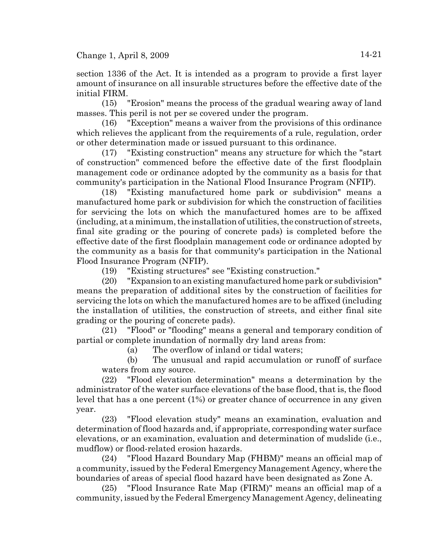section 1336 of the Act. It is intended as a program to provide a first layer amount of insurance on all insurable structures before the effective date of the initial FIRM.

(15) "Erosion" means the process of the gradual wearing away of land masses. This peril is not per se covered under the program.

(16) "Exception" means a waiver from the provisions of this ordinance which relieves the applicant from the requirements of a rule, regulation, order or other determination made or issued pursuant to this ordinance.

(17) "Existing construction" means any structure for which the "start of construction" commenced before the effective date of the first floodplain management code or ordinance adopted by the community as a basis for that community's participation in the National Flood Insurance Program (NFIP).

(18) "Existing manufactured home park or subdivision" means a manufactured home park or subdivision for which the construction of facilities for servicing the lots on which the manufactured homes are to be affixed (including, at a minimum, the installation of utilities, the construction of streets, final site grading or the pouring of concrete pads) is completed before the effective date of the first floodplain management code or ordinance adopted by the community as a basis for that community's participation in the National Flood Insurance Program (NFIP).

(19) "Existing structures" see "Existing construction."

(20) "Expansion to an existing manufactured home park or subdivision" means the preparation of additional sites by the construction of facilities for servicing the lots on which the manufactured homes are to be affixed (including the installation of utilities, the construction of streets, and either final site grading or the pouring of concrete pads).

(21) "Flood" or "flooding" means a general and temporary condition of partial or complete inundation of normally dry land areas from:

(a) The overflow of inland or tidal waters;

(b) The unusual and rapid accumulation or runoff of surface waters from any source.

(22) "Flood elevation determination" means a determination by the administrator of the water surface elevations of the base flood, that is, the flood level that has a one percent (1%) or greater chance of occurrence in any given year.

(23) "Flood elevation study" means an examination, evaluation and determination of flood hazards and, if appropriate, corresponding water surface elevations, or an examination, evaluation and determination of mudslide (i.e., mudflow) or flood-related erosion hazards.

(24) "Flood Hazard Boundary Map (FHBM)" means an official map of a community, issued by the Federal Emergency Management Agency, where the boundaries of areas of special flood hazard have been designated as Zone A.

(25) "Flood Insurance Rate Map (FIRM)" means an official map of a community, issued by the Federal Emergency Management Agency, delineating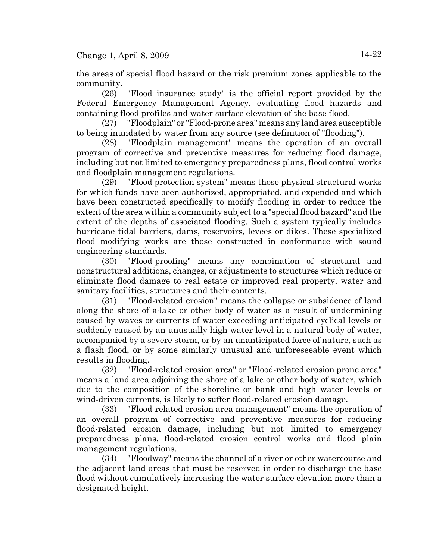the areas of special flood hazard or the risk premium zones applicable to the community.

(26) "Flood insurance study" is the official report provided by the Federal Emergency Management Agency, evaluating flood hazards and containing flood profiles and water surface elevation of the base flood.

(27) "Floodplain" or "Flood-prone area" means any land area susceptible to being inundated by water from any source (see definition of "flooding").

(28) "Floodplain management" means the operation of an overall program of corrective and preventive measures for reducing flood damage, including but not limited to emergency preparedness plans, flood control works and floodplain management regulations.

(29) "Flood protection system" means those physical structural works for which funds have been authorized, appropriated, and expended and which have been constructed specifically to modify flooding in order to reduce the extent of the area within a community subject to a "special flood hazard" and the extent of the depths of associated flooding. Such a system typically includes hurricane tidal barriers, dams, reservoirs, levees or dikes. These specialized flood modifying works are those constructed in conformance with sound engineering standards.

(30) "Flood-proofing" means any combination of structural and nonstructural additions, changes, or adjustments to structures which reduce or eliminate flood damage to real estate or improved real property, water and sanitary facilities, structures and their contents.

(31) "Flood-related erosion" means the collapse or subsidence of land along the shore of a lake or other body of water as a result of undermining caused by waves or currents of water exceeding anticipated cyclical levels or suddenly caused by an unusually high water level in a natural body of water, accompanied by a severe storm, or by an unanticipated force of nature, such as a flash flood, or by some similarly unusual and unforeseeable event which results in flooding.

(32) "Flood-related erosion area" or "Flood-related erosion prone area" means a land area adjoining the shore of a lake or other body of water, which due to the composition of the shoreline or bank and high water levels or wind-driven currents, is likely to suffer flood-related erosion damage.

(33) "Flood-related erosion area management" means the operation of an overall program of corrective and preventive measures for reducing flood-related erosion damage, including but not limited to emergency preparedness plans, flood-related erosion control works and flood plain management regulations.

(34) "Floodway" means the channel of a river or other watercourse and the adjacent land areas that must be reserved in order to discharge the base flood without cumulatively increasing the water surface elevation more than a designated height.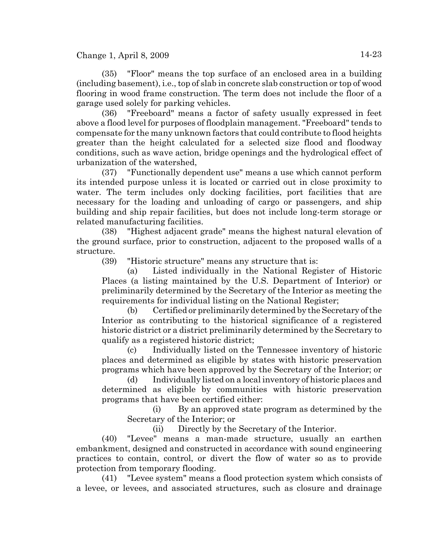(35) "Floor" means the top surface of an enclosed area in a building (including basement), i.e., top of slab in concrete slab construction or top of wood flooring in wood frame construction. The term does not include the floor of a garage used solely for parking vehicles.

(36) "Freeboard" means a factor of safety usually expressed in feet above a flood level for purposes of floodplain management. "Freeboard" tends to compensate for the many unknown factors that could contribute to flood heights greater than the height calculated for a selected size flood and floodway conditions, such as wave action, bridge openings and the hydrological effect of urbanization of the watershed,

(37) "Functionally dependent use" means a use which cannot perform its intended purpose unless it is located or carried out in close proximity to water. The term includes only docking facilities, port facilities that are necessary for the loading and unloading of cargo or passengers, and ship building and ship repair facilities, but does not include long-term storage or related manufacturing facilities.

(38) "Highest adjacent grade" means the highest natural elevation of the ground surface, prior to construction, adjacent to the proposed walls of a structure.

(39) "Historic structure" means any structure that is:

(a) Listed individually in the National Register of Historic Places (a listing maintained by the U.S. Department of Interior) or preliminarily determined by the Secretary of the Interior as meeting the requirements for individual listing on the National Register;

(b) Certified or preliminarily determined by the Secretary of the Interior as contributing to the historical significance of a registered historic district or a district preliminarily determined by the Secretary to qualify as a registered historic district;

(c) Individually listed on the Tennessee inventory of historic places and determined as eligible by states with historic preservation programs which have been approved by the Secretary of the Interior; or

(d) Individually listed on a local inventory of historic places and determined as eligible by communities with historic preservation programs that have been certified either:

(i) By an approved state program as determined by the Secretary of the Interior; or

(ii) Directly by the Secretary of the Interior.

(40) "Levee" means a man-made structure, usually an earthen embankment, designed and constructed in accordance with sound engineering practices to contain, control, or divert the flow of water so as to provide protection from temporary flooding.

(41) "Levee system" means a flood protection system which consists of a levee, or levees, and associated structures, such as closure and drainage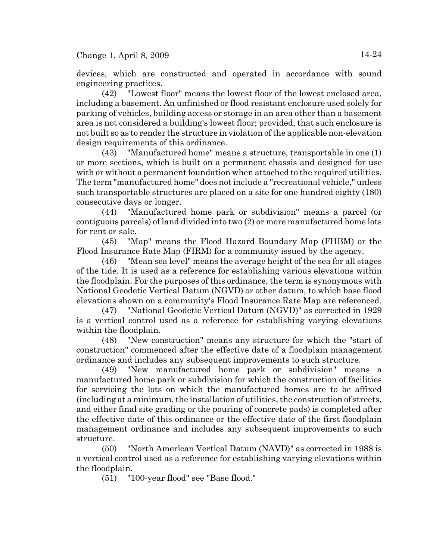devices, which are constructed and operated in accordance with sound engineering practices.

(42) "Lowest floor" means the lowest floor of the lowest enclosed area, including a basement. An unfinished or flood resistant enclosure used solely for parking of vehicles, building access or storage in an area other than a basement area is not considered a building's lowest floor; provided, that such enclosure is not built so as to render the structure in violation of the applicable non-elevation design requirements of this ordinance.

(43) "Manufactured home" means a structure, transportable in one (1) or more sections, which is built on a permanent chassis and designed for use with or without a permanent foundation when attached to the required utilities. The term "manufactured home" does not include a "recreational vehicle," unless such transportable structures are placed on a site for one hundred eighty (180) consecutive days or longer.

(44) "Manufactured home park or subdivision" means a parcel (or contiguous parcels) of land divided into two (2) or more manufactured home lots for rent or sale.

(45) "Map" means the Flood Hazard Boundary Map (FHBM) or the Flood Insurance Rate Map (FIRM) for a community issued by the agency.

(46) "Mean sea level" means the average height of the sea for all stages of the tide. It is used as a reference for establishing various elevations within the floodplain. For the purposes of this ordinance, the term is synonymous with National Geodetic Vertical Datum (NGVD) or other datum, to which base flood elevations shown on a community's Flood Insurance Rate Map are referenced.

(47) "National Geodetic Vertical Datum (NGVD)" as corrected in 1929 is a vertical control used as a reference for establishing varying elevations within the floodplain.

(48) "New construction" means any structure for which the "start of construction" commenced after the effective date of a floodplain management ordinance and includes any subsequent improvements to such structure.

(49) "New manufactured home park or subdivision" means a manufactured home park or subdivision for which the construction of facilities for servicing the lots on which the manufactured homes are to be affixed (including at a minimum, the installation of utilities, the construction of streets, and either final site grading or the pouring of concrete pads) is completed after the effective date of this ordinance or the effective date of the first floodplain management ordinance and includes any subsequent improvements to such structure.

(50) "North American Vertical Datum (NAVD)" as corrected in 1988 is a vertical control used as a reference for establishing varying elevations within the floodplain.

(51) "100-year flood" see "Base flood."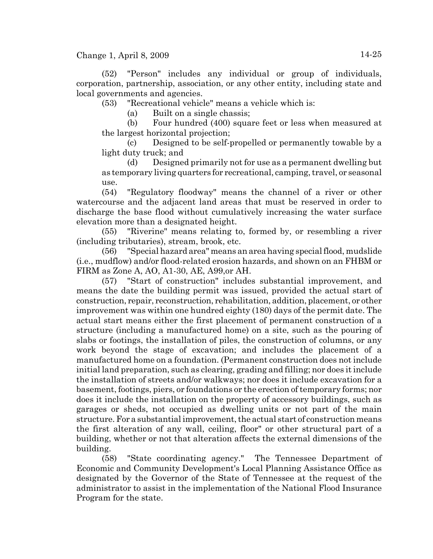(52) "Person" includes any individual or group of individuals, corporation, partnership, association, or any other entity, including state and local governments and agencies.

(53) "Recreational vehicle" means a vehicle which is:

(a) Built on a single chassis;

(b) Four hundred (400) square feet or less when measured at the largest horizontal projection;

(c) Designed to be self-propelled or permanently towable by a light duty truck; and

(d) Designed primarily not for use as a permanent dwelling but as temporary living quarters for recreational, camping, travel, or seasonal use.

(54) "Regulatory floodway" means the channel of a river or other watercourse and the adjacent land areas that must be reserved in order to discharge the base flood without cumulatively increasing the water surface elevation more than a designated height.

(55) "Riverine" means relating to, formed by, or resembling a river (including tributaries), stream, brook, etc.

(56) "Special hazard area" means an area having special flood, mudslide (i.e., mudflow) and/or flood-related erosion hazards, and shown on an FHBM or FIRM as Zone A, AO, A1-30, AE, A99,or AH.

(57) "Start of construction" includes substantial improvement, and means the date the building permit was issued, provided the actual start of construction, repair, reconstruction, rehabilitation, addition, placement, or other improvement was within one hundred eighty (180) days of the permit date. The actual start means either the first placement of permanent construction of a structure (including a manufactured home) on a site, such as the pouring of slabs or footings, the installation of piles, the construction of columns, or any work beyond the stage of excavation; and includes the placement of a manufactured home on a foundation. (Permanent construction does not include initial land preparation, such as clearing, grading and filling; nor does it include the installation of streets and/or walkways; nor does it include excavation for a basement, footings, piers, or foundations or the erection of temporary forms; nor does it include the installation on the property of accessory buildings, such as garages or sheds, not occupied as dwelling units or not part of the main structure. For a substantial improvement, the actual start of construction means the first alteration of any wall, ceiling, floor" or other structural part of a building, whether or not that alteration affects the external dimensions of the building.

(58) "State coordinating agency." The Tennessee Department of Economic and Community Development's Local Planning Assistance Office as designated by the Governor of the State of Tennessee at the request of the administrator to assist in the implementation of the National Flood Insurance Program for the state.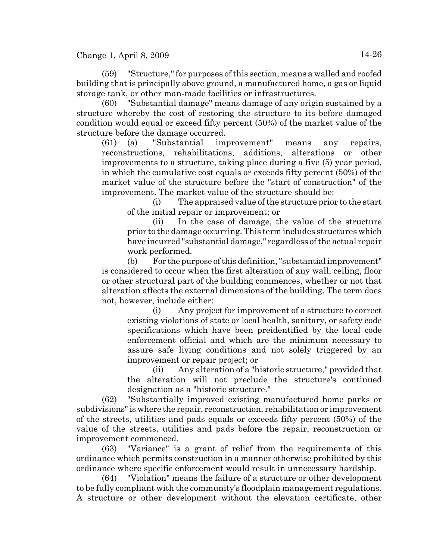(59) "Structure," for purposes of this section, means a walled and roofed building that is principally above ground, a manufactured home, a gas or liquid storage tank, or other man-made facilities or infrastructures.

(60) "Substantial damage" means damage of any origin sustained by a structure whereby the cost of restoring the structure to its before damaged condition would equal or exceed fifty percent (50%) of the market value of the structure before the damage occurred.

(61) (a) "Substantial improvement" means any repairs, reconstructions, rehabilitations, additions, alterations or other improvements to a structure, taking place during a five (5) year period, in which the cumulative cost equals or exceeds fifty percent (50%) of the market value of the structure before the "start of construction" of the improvement. The market value of the structure should be:

(i) The appraised value of the structure prior to the start of the initial repair or improvement; or

(ii) In the case of damage, the value of the structure prior to the damage occurring. This term includes structures which have incurred "substantial damage," regardless of the actual repair work performed.

(b) For the purpose of this definition, "substantial improvement" is considered to occur when the first alteration of any wall, ceiling, floor or other structural part of the building commences, whether or not that alteration affects the external dimensions of the building. The term does not, however, include either:

(i) Any project for improvement of a structure to correct existing violations of state or local health, sanitary, or safety code specifications which have been preidentified by the local code enforcement official and which are the minimum necessary to assure safe living conditions and not solely triggered by an improvement or repair project; or

(ii) Any alteration of a "historic structure," provided that the alteration will not preclude the structure's continued designation as a "historic structure."

(62) "Substantially improved existing manufactured home parks or subdivisions" is where the repair, reconstruction, rehabilitation or improvement of the streets, utilities and pads equals or exceeds fifty percent (50%) of the value of the streets, utilities and pads before the repair, reconstruction or improvement commenced.

(63) "Variance" is a grant of relief from the requirements of this ordinance which permits construction in a manner otherwise prohibited by this ordinance where specific enforcement would result in unnecessary hardship.

(64) "Violation" means the failure of a structure or other development to be fully compliant with the community's floodplain management regulations. A structure or other development without the elevation certificate, other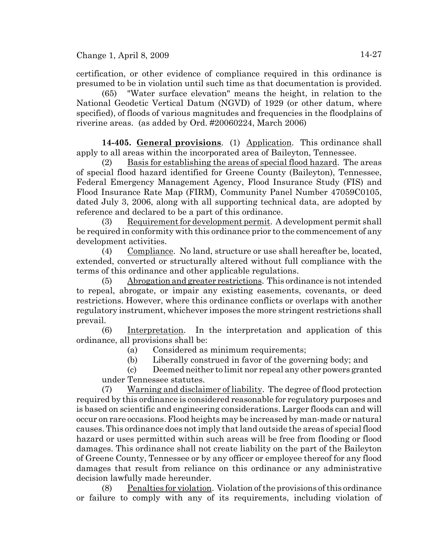certification, or other evidence of compliance required in this ordinance is presumed to be in violation until such time as that documentation is provided.

(65) "Water surface elevation" means the height, in relation to the National Geodetic Vertical Datum (NGVD) of 1929 (or other datum, where specified), of floods of various magnitudes and frequencies in the floodplains of riverine areas. (as added by Ord. #20060224, March 2006)

**14-405. General provisions**. (1) Application. This ordinance shall apply to all areas within the incorporated area of Baileyton, Tennessee.

(2) Basis for establishing the areas of special flood hazard. The areas of special flood hazard identified for Greene County (Baileyton), Tennessee, Federal Emergency Management Agency, Flood Insurance Study (FIS) and Flood Insurance Rate Map (FIRM), Community Panel Number 47059C0105, dated July 3, 2006, along with all supporting technical data, are adopted by reference and declared to be a part of this ordinance.

(3) Requirement for development permit. A development permit shall be required in conformity with this ordinance prior to the commencement of any development activities.

(4) Compliance. No land, structure or use shall hereafter be, located, extended, converted or structurally altered without full compliance with the terms of this ordinance and other applicable regulations.

(5) Abrogation and greater restrictions. This ordinance is not intended to repeal, abrogate, or impair any existing easements, covenants, or deed restrictions. However, where this ordinance conflicts or overlaps with another regulatory instrument, whichever imposes the more stringent restrictions shall prevail.

(6) Interpretation. In the interpretation and application of this ordinance, all provisions shall be:

(a) Considered as minimum requirements;

(b) Liberally construed in favor of the governing body; and

(c) Deemed neither to limit nor repeal any other powers granted under Tennessee statutes.

(7) Warning and disclaimer of liability. The degree of flood protection required by this ordinance is considered reasonable for regulatory purposes and is based on scientific and engineering considerations. Larger floods can and will occur on rare occasions. Flood heights may be increased by man-made or natural causes. This ordinance does not imply that land outside the areas of special flood hazard or uses permitted within such areas will be free from flooding or flood damages. This ordinance shall not create liability on the part of the Baileyton of Greene County, Tennessee or by any officer or employee thereof for any flood damages that result from reliance on this ordinance or any administrative decision lawfully made hereunder.

(8) Penalties for violation. Violation of the provisions of this ordinance or failure to comply with any of its requirements, including violation of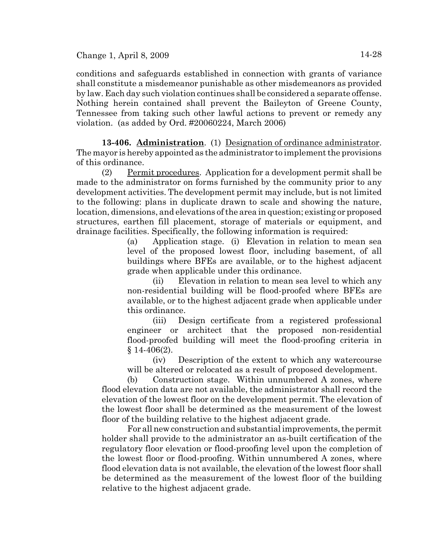conditions and safeguards established in connection with grants of variance shall constitute a misdemeanor punishable as other misdemeanors as provided by law. Each day such violation continues shall be considered a separate offense. Nothing herein contained shall prevent the Baileyton of Greene County, Tennessee from taking such other lawful actions to prevent or remedy any violation. (as added by Ord. #20060224, March 2006)

**13-406. Administration**. (1) Designation of ordinance administrator. The mayor is hereby appointed as the administrator to implement the provisions of this ordinance.

(2) Permit procedures. Application for a development permit shall be made to the administrator on forms furnished by the community prior to any development activities. The development permit may include, but is not limited to the following: plans in duplicate drawn to scale and showing the nature, location, dimensions, and elevations of the area in question; existing or proposed structures, earthen fill placement, storage of materials or equipment, and drainage facilities. Specifically, the following information is required:

> (a) Application stage. (i) Elevation in relation to mean sea level of the proposed lowest floor, including basement, of all buildings where BFEs are available, or to the highest adjacent grade when applicable under this ordinance.

> (ii) Elevation in relation to mean sea level to which any non-residential building will be flood-proofed where BFEs are available, or to the highest adjacent grade when applicable under this ordinance.

> (iii) Design certificate from a registered professional engineer or architect that the proposed non-residential flood-proofed building will meet the flood-proofing criteria in § 14-406(2).

> (iv) Description of the extent to which any watercourse will be altered or relocated as a result of proposed development.

(b) Construction stage. Within unnumbered A zones, where flood elevation data are not available, the administrator shall record the elevation of the lowest floor on the development permit. The elevation of the lowest floor shall be determined as the measurement of the lowest floor of the building relative to the highest adjacent grade.

For all new construction and substantial improvements, the permit holder shall provide to the administrator an as-built certification of the regulatory floor elevation or flood-proofing level upon the completion of the lowest floor or flood-proofing. Within unnumbered A zones, where flood elevation data is not available, the elevation of the lowest floor shall be determined as the measurement of the lowest floor of the building relative to the highest adjacent grade.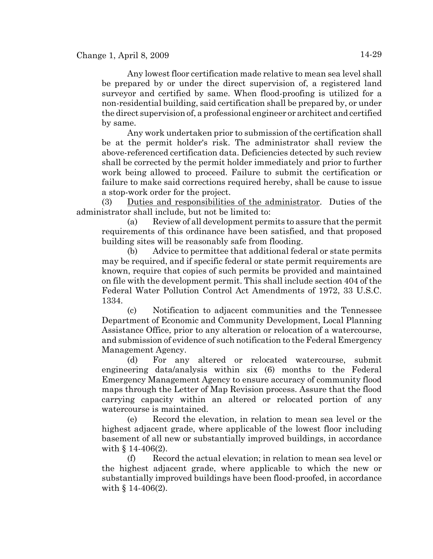Any lowest floor certification made relative to mean sea level shall be prepared by or under the direct supervision of, a registered land surveyor and certified by same. When flood-proofing is utilized for a non-residential building, said certification shall be prepared by, or under the direct supervision of, a professional engineer or architect and certified by same.

Any work undertaken prior to submission of the certification shall be at the permit holder's risk. The administrator shall review the above-referenced certification data. Deficiencies detected by such review shall be corrected by the permit holder immediately and prior to further work being allowed to proceed. Failure to submit the certification or failure to make said corrections required hereby, shall be cause to issue a stop-work order for the project.

(3) Duties and responsibilities of the administrator. Duties of the administrator shall include, but not be limited to:

(a) Review of all development permits to assure that the permit requirements of this ordinance have been satisfied, and that proposed building sites will be reasonably safe from flooding.

(b) Advice to permittee that additional federal or state permits may be required, and if specific federal or state permit requirements are known, require that copies of such permits be provided and maintained on file with the development permit. This shall include section 404 of the Federal Water Pollution Control Act Amendments of 1972, 33 U.S.C. 1334.

(c) Notification to adjacent communities and the Tennessee Department of Economic and Community Development, Local Planning Assistance Office, prior to any alteration or relocation of a watercourse, and submission of evidence of such notification to the Federal Emergency Management Agency.

(d) For any altered or relocated watercourse, submit engineering data/analysis within six (6) months to the Federal Emergency Management Agency to ensure accuracy of community flood maps through the Letter of Map Revision process. Assure that the flood carrying capacity within an altered or relocated portion of any watercourse is maintained.

(e) Record the elevation, in relation to mean sea level or the highest adjacent grade, where applicable of the lowest floor including basement of all new or substantially improved buildings, in accordance with  $\S$  14-406(2).

(f) Record the actual elevation; in relation to mean sea level or the highest adjacent grade, where applicable to which the new or substantially improved buildings have been flood-proofed, in accordance with § 14-406(2).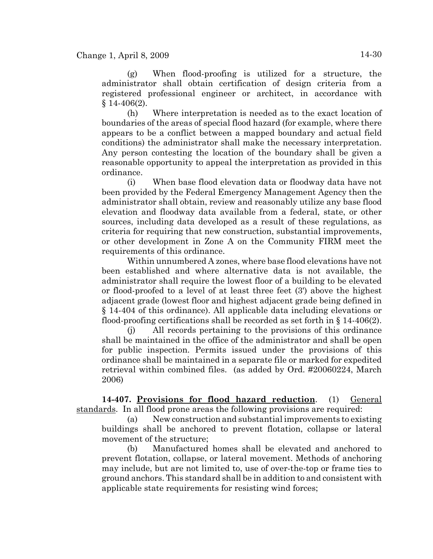(g) When flood-proofing is utilized for a structure, the administrator shall obtain certification of design criteria from a registered professional engineer or architect, in accordance with  $$14-406(2)$ .

(h) Where interpretation is needed as to the exact location of boundaries of the areas of special flood hazard (for example, where there appears to be a conflict between a mapped boundary and actual field conditions) the administrator shall make the necessary interpretation. Any person contesting the location of the boundary shall be given a reasonable opportunity to appeal the interpretation as provided in this ordinance.

(i) When base flood elevation data or floodway data have not been provided by the Federal Emergency Management Agency then the administrator shall obtain, review and reasonably utilize any base flood elevation and floodway data available from a federal, state, or other sources, including data developed as a result of these regulations, as criteria for requiring that new construction, substantial improvements, or other development in Zone A on the Community FIRM meet the requirements of this ordinance.

Within unnumbered A zones, where base flood elevations have not been established and where alternative data is not available, the administrator shall require the lowest floor of a building to be elevated or flood-proofed to a level of at least three feet (3') above the highest adjacent grade (lowest floor and highest adjacent grade being defined in § 14-404 of this ordinance). All applicable data including elevations or flood-proofing certifications shall be recorded as set forth in  $\S 14-406(2)$ .

(j) All records pertaining to the provisions of this ordinance shall be maintained in the office of the administrator and shall be open for public inspection. Permits issued under the provisions of this ordinance shall be maintained in a separate file or marked for expedited retrieval within combined files. (as added by Ord. #20060224, March 2006)

**14-407. Provisions for flood hazard reduction**. (1) General standards. In all flood prone areas the following provisions are required:

(a) New construction and substantial improvements to existing buildings shall be anchored to prevent flotation, collapse or lateral movement of the structure;

(b) Manufactured homes shall be elevated and anchored to prevent flotation, collapse, or lateral movement. Methods of anchoring may include, but are not limited to, use of over-the-top or frame ties to ground anchors. This standard shall be in addition to and consistent with applicable state requirements for resisting wind forces;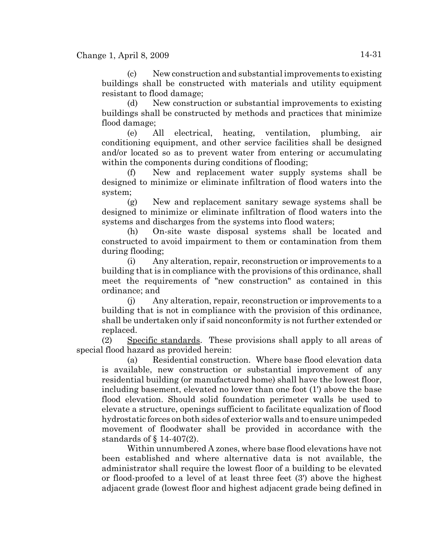(c) New construction and substantial improvements to existing buildings shall be constructed with materials and utility equipment resistant to flood damage;

(d) New construction or substantial improvements to existing buildings shall be constructed by methods and practices that minimize flood damage;

(e) All electrical, heating, ventilation, plumbing, air conditioning equipment, and other service facilities shall be designed and/or located so as to prevent water from entering or accumulating within the components during conditions of flooding;

(f) New and replacement water supply systems shall be designed to minimize or eliminate infiltration of flood waters into the system;

(g) New and replacement sanitary sewage systems shall be designed to minimize or eliminate infiltration of flood waters into the systems and discharges from the systems into flood waters;

(h) On-site waste disposal systems shall be located and constructed to avoid impairment to them or contamination from them during flooding;

(i) Any alteration, repair, reconstruction or improvements to a building that is in compliance with the provisions of this ordinance, shall meet the requirements of "new construction" as contained in this ordinance; and

(j) Any alteration, repair, reconstruction or improvements to a building that is not in compliance with the provision of this ordinance, shall be undertaken only if said nonconformity is not further extended or replaced.

(2) Specific standards. These provisions shall apply to all areas of special flood hazard as provided herein:

(a) Residential construction. Where base flood elevation data is available, new construction or substantial improvement of any residential building (or manufactured home) shall have the lowest floor, including basement, elevated no lower than one foot (1') above the base flood elevation. Should solid foundation perimeter walls be used to elevate a structure, openings sufficient to facilitate equalization of flood hydrostatic forces on both sides of exterior walls and to ensure unimpeded movement of floodwater shall be provided in accordance with the standards of § 14-407(2).

Within unnumbered A zones, where base flood elevations have not been established and where alternative data is not available, the administrator shall require the lowest floor of a building to be elevated or flood-proofed to a level of at least three feet (3') above the highest adjacent grade (lowest floor and highest adjacent grade being defined in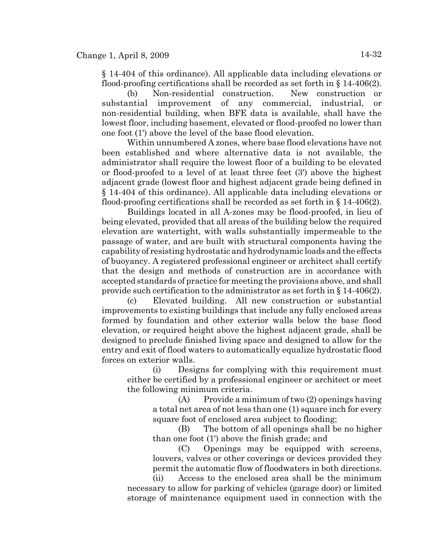§ 14-404 of this ordinance). All applicable data including elevations or flood-proofing certifications shall be recorded as set forth in  $\S 14-406(2)$ .

(b) Non-residential construction. New construction or substantial improvement of any commercial, industrial, or non-residential building, when BFE data is available, shall have the lowest floor, including basement, elevated or flood-proofed no lower than one foot (1') above the level of the base flood elevation.

Within unnumbered A zones, where base flood elevations have not been established and where alternative data is not available, the administrator shall require the lowest floor of a building to be elevated or flood-proofed to a level of at least three feet (3') above the highest adjacent grade (lowest floor and highest adjacent grade being defined in § 14-404 of this ordinance). All applicable data including elevations or flood-proofing certifications shall be recorded as set forth in  $\S 14-406(2)$ .

Buildings located in all A-zones may be flood-proofed, in lieu of being elevated, provided that all areas of the building below the required elevation are watertight, with walls substantially impermeable to the passage of water, and are built with structural components having the capability of resisting hydrostatic and hydrodynamic loads and the effects of buoyancy. A registered professional engineer or architect shall certify that the design and methods of construction are in accordance with accepted standards of practice for meeting the provisions above, and shall provide such certification to the administrator as set forth in § 14-406(2).

(c) Elevated building. All new construction or substantial improvements to existing buildings that include any fully enclosed areas formed by foundation and other exterior walls below the base flood elevation, or required height above the highest adjacent grade, shall be designed to preclude finished living space and designed to allow for the entry and exit of flood waters to automatically equalize hydrostatic flood forces on exterior walls.

(i) Designs for complying with this requirement must either be certified by a professional engineer or architect or meet the following minimum criteria.

> (A) Provide a minimum of two (2) openings having a total net area of not less than one (1) square inch for every square foot of enclosed area subject to flooding;

> (B) The bottom of all openings shall be no higher than one foot (1') above the finish grade; and

> (C) Openings may be equipped with screens, louvers, valves or other coverings or devices provided they permit the automatic flow of floodwaters in both directions.

(ii) Access to the enclosed area shall be the minimum necessary to allow for parking of vehicles (garage door) or limited storage of maintenance equipment used in connection with the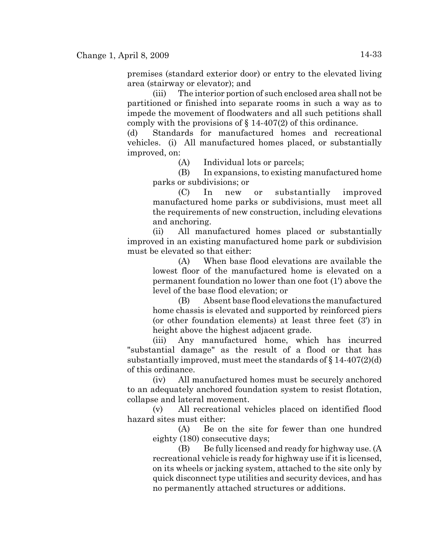premises (standard exterior door) or entry to the elevated living area (stairway or elevator); and

(iii) The interior portion of such enclosed area shall not be partitioned or finished into separate rooms in such a way as to impede the movement of floodwaters and all such petitions shall comply with the provisions of  $\S$  14-407(2) of this ordinance.

(d) Standards for manufactured homes and recreational vehicles. (i) All manufactured homes placed, or substantially improved, on:

(A) Individual lots or parcels;

(B) In expansions, to existing manufactured home parks or subdivisions; or

(C) In new or substantially improved manufactured home parks or subdivisions, must meet all the requirements of new construction, including elevations and anchoring.

(ii) All manufactured homes placed or substantially improved in an existing manufactured home park or subdivision must be elevated so that either:

(A) When base flood elevations are available the lowest floor of the manufactured home is elevated on a permanent foundation no lower than one foot (1') above the level of the base flood elevation; or

(B) Absent base flood elevations the manufactured home chassis is elevated and supported by reinforced piers (or other foundation elements) at least three feet (3') in height above the highest adjacent grade.

(iii) Any manufactured home, which has incurred "substantial damage" as the result of a flood or that has substantially improved, must meet the standards of  $\S 14-407(2)(d)$ of this ordinance.

(iv) All manufactured homes must be securely anchored to an adequately anchored foundation system to resist flotation, collapse and lateral movement.

(v) All recreational vehicles placed on identified flood hazard sites must either:

(A) Be on the site for fewer than one hundred eighty (180) consecutive days;

(B) Be fully licensed and ready for highway use. (A recreational vehicle is ready for highway use if it is licensed, on its wheels or jacking system, attached to the site only by quick disconnect type utilities and security devices, and has no permanently attached structures or additions.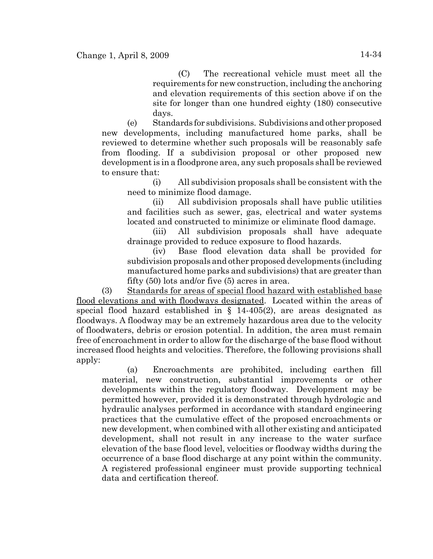(C) The recreational vehicle must meet all the requirements for new construction, including the anchoring and elevation requirements of this section above if on the site for longer than one hundred eighty (180) consecutive days.

(e) Standards for subdivisions. Subdivisions and other proposed new developments, including manufactured home parks, shall be reviewed to determine whether such proposals will be reasonably safe from flooding. If a subdivision proposal or other proposed new development is in a floodprone area, any such proposals shall be reviewed to ensure that:

(i) All subdivision proposals shall be consistent with the need to minimize flood damage.

(ii) All subdivision proposals shall have public utilities and facilities such as sewer, gas, electrical and water systems located and constructed to minimize or eliminate flood damage.

(iii) All subdivision proposals shall have adequate drainage provided to reduce exposure to flood hazards.

(iv) Base flood elevation data shall be provided for subdivision proposals and other proposed developments (including manufactured home parks and subdivisions) that are greater than fifty (50) lots and/or five (5) acres in area.

(3) Standards for areas of special flood hazard with established base flood elevations and with floodways designated. Located within the areas of special flood hazard established in § 14-405(2), are areas designated as floodways. A floodway may be an extremely hazardous area due to the velocity of floodwaters, debris or erosion potential. In addition, the area must remain free of encroachment in order to allow for the discharge of the base flood without increased flood heights and velocities. Therefore, the following provisions shall apply:

(a) Encroachments are prohibited, including earthen fill material, new construction, substantial improvements or other developments within the regulatory floodway. Development may be permitted however, provided it is demonstrated through hydrologic and hydraulic analyses performed in accordance with standard engineering practices that the cumulative effect of the proposed encroachments or new development, when combined with all other existing and anticipated development, shall not result in any increase to the water surface elevation of the base flood level, velocities or floodway widths during the occurrence of a base flood discharge at any point within the community. A registered professional engineer must provide supporting technical data and certification thereof.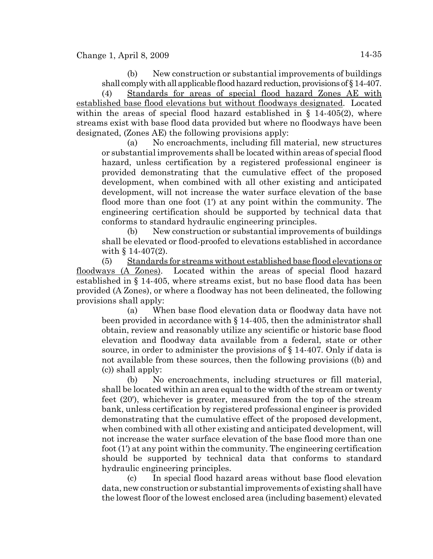(b) New construction or substantial improvements of buildings shall comply with all applicable flood hazard reduction, provisions of § 14-407.

(4) Standards for areas of special flood hazard Zones AE with established base flood elevations but without floodways designated. Located within the areas of special flood hazard established in  $\S$  14-405(2), where streams exist with base flood data provided but where no floodways have been designated, (Zones AE) the following provisions apply:

(a) No encroachments, including fill material, new structures or substantial improvements shall be located within areas of special flood hazard, unless certification by a registered professional engineer is provided demonstrating that the cumulative effect of the proposed development, when combined with all other existing and anticipated development, will not increase the water surface elevation of the base flood more than one foot (1') at any point within the community. The engineering certification should be supported by technical data that conforms to standard hydraulic engineering principles.

(b) New construction or substantial improvements of buildings shall be elevated or flood-proofed to elevations established in accordance with  $\S 14-407(2)$ .

(5) Standards for streams without established base flood elevations or floodways (A Zones). Located within the areas of special flood hazard established in § 14-405, where streams exist, but no base flood data has been provided (A Zones), or where a floodway has not been delineated, the following provisions shall apply:

(a) When base flood elevation data or floodway data have not been provided in accordance with § 14-405, then the administrator shall obtain, review and reasonably utilize any scientific or historic base flood elevation and floodway data available from a federal, state or other source, in order to administer the provisions of  $\S 14-407$ . Only if data is not available from these sources, then the following provisions ((b) and (c)) shall apply:

(b) No encroachments, including structures or fill material, shall be located within an area equal to the width of the stream or twenty feet (20'), whichever is greater, measured from the top of the stream bank, unless certification by registered professional engineer is provided demonstrating that the cumulative effect of the proposed development, when combined with all other existing and anticipated development, will not increase the water surface elevation of the base flood more than one foot (1') at any point within the community. The engineering certification should be supported by technical data that conforms to standard hydraulic engineering principles.

(c) In special flood hazard areas without base flood elevation data, new construction or substantial improvements of existing shall have the lowest floor of the lowest enclosed area (including basement) elevated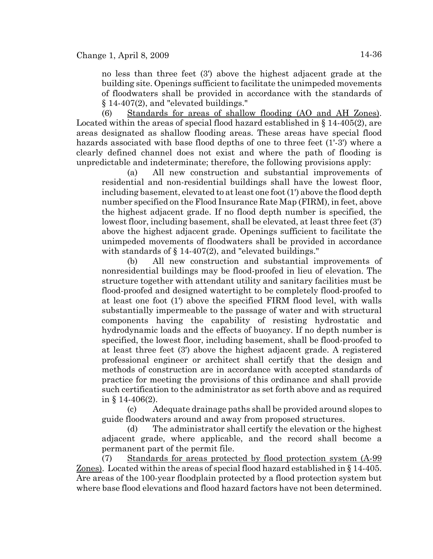no less than three feet (3') above the highest adjacent grade at the building site. Openings sufficient to facilitate the unimpeded movements of floodwaters shall be provided in accordance with the standards of § 14-407(2), and "elevated buildings."

(6) Standards for areas of shallow flooding (AO and AH Zones). Located within the areas of special flood hazard established in § 14-405(2), are areas designated as shallow flooding areas. These areas have special flood hazards associated with base flood depths of one to three feet (1'-3') where a clearly defined channel does not exist and where the path of flooding is unpredictable and indeterminate; therefore, the following provisions apply:

(a) All new construction and substantial improvements of residential and non-residential buildings shall have the lowest floor, including basement, elevated to at least one foot (1') above the flood depth number specified on the Flood Insurance Rate Map (FIRM), in feet, above the highest adjacent grade. If no flood depth number is specified, the lowest floor, including basement, shall be elevated, at least three feet (3') above the highest adjacent grade. Openings sufficient to facilitate the unimpeded movements of floodwaters shall be provided in accordance with standards of § 14-407(2), and "elevated buildings."

(b) All new construction and substantial improvements of nonresidential buildings may be flood-proofed in lieu of elevation. The structure together with attendant utility and sanitary facilities must be flood-proofed and designed watertight to be completely flood-proofed to at least one foot (1') above the specified FIRM flood level, with walls substantially impermeable to the passage of water and with structural components having the capability of resisting hydrostatic and hydrodynamic loads and the effects of buoyancy. If no depth number is specified, the lowest floor, including basement, shall be flood-proofed to at least three feet (3') above the highest adjacent grade. A registered professional engineer or architect shall certify that the design and methods of construction are in accordance with accepted standards of practice for meeting the provisions of this ordinance and shall provide such certification to the administrator as set forth above and as required in § 14-406(2).

(c) Adequate drainage paths shall be provided around slopes to guide floodwaters around and away from proposed structures.

(d) The administrator shall certify the elevation or the highest adjacent grade, where applicable, and the record shall become a permanent part of the permit file.

(7) Standards for areas protected by flood protection system (A-99 Zones). Located within the areas of special flood hazard established in § 14-405. Are areas of the 100-year floodplain protected by a flood protection system but where base flood elevations and flood hazard factors have not been determined.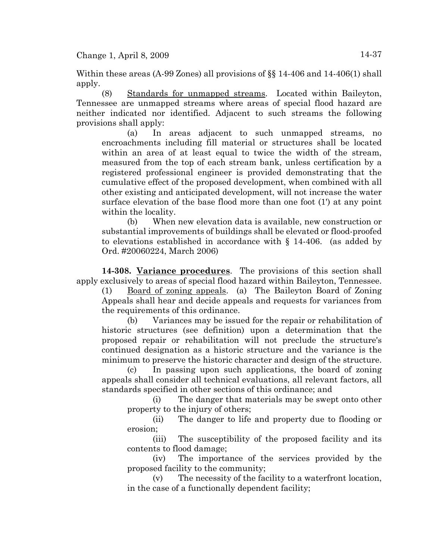Within these areas (A-99 Zones) all provisions of §§ 14-406 and 14-406(1) shall apply.

(8) Standards for unmapped streams. Located within Baileyton, Tennessee are unmapped streams where areas of special flood hazard are neither indicated nor identified. Adjacent to such streams the following provisions shall apply:

(a) In areas adjacent to such unmapped streams, no encroachments including fill material or structures shall be located within an area of at least equal to twice the width of the stream, measured from the top of each stream bank, unless certification by a registered professional engineer is provided demonstrating that the cumulative effect of the proposed development, when combined with all other existing and anticipated development, will not increase the water surface elevation of the base flood more than one foot (1') at any point within the locality.

(b) When new elevation data is available, new construction or substantial improvements of buildings shall be elevated or flood-proofed to elevations established in accordance with § 14-406. (as added by Ord. #20060224, March 2006)

**14-308. Variance procedures**. The provisions of this section shall apply exclusively to areas of special flood hazard within Baileyton, Tennessee.

(1) Board of zoning appeals. (a) The Baileyton Board of Zoning Appeals shall hear and decide appeals and requests for variances from the requirements of this ordinance.

(b) Variances may be issued for the repair or rehabilitation of historic structures (see definition) upon a determination that the proposed repair or rehabilitation will not preclude the structure's continued designation as a historic structure and the variance is the minimum to preserve the historic character and design of the structure.

(c) In passing upon such applications, the board of zoning appeals shall consider all technical evaluations, all relevant factors, all standards specified in other sections of this ordinance; and

(i) The danger that materials may be swept onto other property to the injury of others;

(ii) The danger to life and property due to flooding or erosion;

(iii) The susceptibility of the proposed facility and its contents to flood damage;

(iv) The importance of the services provided by the proposed facility to the community;

(v) The necessity of the facility to a waterfront location, in the case of a functionally dependent facility;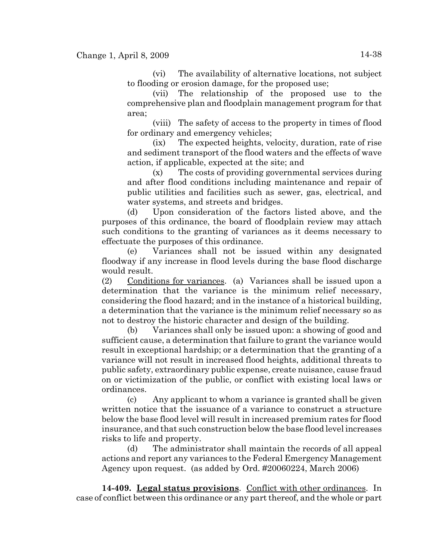(vi) The availability of alternative locations, not subject to flooding or erosion damage, for the proposed use;

(vii) The relationship of the proposed use to the comprehensive plan and floodplain management program for that area;

(viii) The safety of access to the property in times of flood for ordinary and emergency vehicles;

(ix) The expected heights, velocity, duration, rate of rise and sediment transport of the flood waters and the effects of wave action, if applicable, expected at the site; and

(x) The costs of providing governmental services during and after flood conditions including maintenance and repair of public utilities and facilities such as sewer, gas, electrical, and water systems, and streets and bridges.

(d) Upon consideration of the factors listed above, and the purposes of this ordinance, the board of floodplain review may attach such conditions to the granting of variances as it deems necessary to effectuate the purposes of this ordinance.

(e) Variances shall not be issued within any designated floodway if any increase in flood levels during the base flood discharge would result.

(2) Conditions for variances. (a) Variances shall be issued upon a determination that the variance is the minimum relief necessary, considering the flood hazard; and in the instance of a historical building, a determination that the variance is the minimum relief necessary so as not to destroy the historic character and design of the building.

(b) Variances shall only be issued upon: a showing of good and sufficient cause, a determination that failure to grant the variance would result in exceptional hardship; or a determination that the granting of a variance will not result in increased flood heights, additional threats to public safety, extraordinary public expense, create nuisance, cause fraud on or victimization of the public, or conflict with existing local laws or ordinances.

(c) Any applicant to whom a variance is granted shall be given written notice that the issuance of a variance to construct a structure below the base flood level will result in increased premium rates for flood insurance, and that such construction below the base flood level increases risks to life and property.

(d) The administrator shall maintain the records of all appeal actions and report any variances to the Federal Emergency Management Agency upon request. (as added by Ord. #20060224, March 2006)

**14-409. Legal status provisions**. Conflict with other ordinances. In case of conflict between this ordinance or any part thereof, and the whole or part